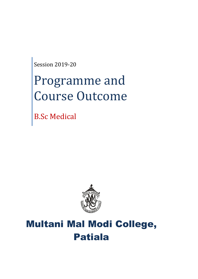Session 2019-20

# Programme and Course Outcome

B.Sc Medical



# Multani Mal Modi College, Patiala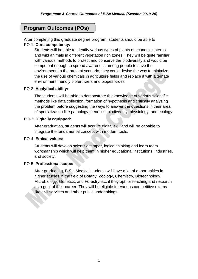# **Program Outcomes (POs)**

After completing this graduate degree program, students should be able to PO-1: **Core competency:**

Students will be able to identify various types of plants of economic interest and wild animals in different vegetation rich zones. They will be quite familiar with various methods to protect and conserve the biodiversity and would be competent enough to spread awareness among people to save the environment. In the present scenario, they could devise the way to minimize the use of various chemicals in agriculture fields and replace it with alternate environment friendly biofertilizers and biopesticides.

# PO-2: **Analytical ability:**

The students will be able to demonstrate the knowledge of various scientific methods like data collection, formation of hypothesis and critically analyzing the problem before suggesting the ways to answer the questions in their area of specialization like pathology, genetics, biodiversity, physiology, and ecology.

# PO-3: **Digitally equipped:**

After graduation, students will acquire digital skill and will be capable to integrate the fundamental concept with modern tools.

# PO-4: **Ethical values:**

Students will develop scientific temper, logical thinking and learn team workmanship which will help them in higher educational institutions, industries, and society.

# PO-5: **Professional scope:**

After graduating, B.Sc. Medical students will have a lot of opportunities in higher studies in the field of Botany, Zoology, Chemistry, Biotechnology, Microbiology, Genetics, and Forestry etc. if they opt for teaching and research as a goal of their career. They will be eligible for various competitive exams like civil services and other public undertakings.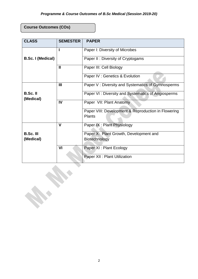# **Course Outcomes (COs)**

| <b>CLASS</b>                  | <b>SEMESTER</b> | <b>PAPER</b>                                                         |
|-------------------------------|-----------------|----------------------------------------------------------------------|
|                               | п               | Paper I: Diversity of Microbes                                       |
| <b>B.Sc. I (Medical)</b>      |                 | Paper II: Diversity of Cryptogams                                    |
|                               | $\mathbf{I}$    | Paper III: Cell Biology                                              |
|                               |                 | Paper IV : Genetics & Evolution                                      |
|                               | III             | Paper V: Diversity and Systematics of Gymnosperms                    |
| <b>B.Sc.II</b><br>(Medical)   |                 | Paper VI: Diversity and Systematics of Angiosperms                   |
|                               | IV              | Paper VII: Plant Anatomy                                             |
|                               |                 | Paper VIII: Development & Reproduction in Flowering<br><b>Plants</b> |
|                               | $\mathbf v$     | Paper IX: Plant Physiology                                           |
| <b>B.Sc. III</b><br>(Medical) |                 | Paper X: Plant Growth, Development and<br>Biotechnology              |
|                               | VI              | Paper XI : Plant Ecology                                             |
|                               |                 | Paper XII : Plant Utilization                                        |
|                               |                 |                                                                      |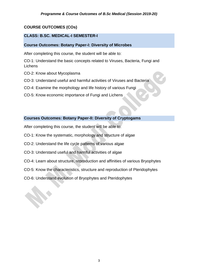# **COURSE OUTCOMES (COs)**

# **CLASS: B.SC. MEDICAL-I SEMESTER-I**

# **Course Outcomes: Botany Paper-I: Diversity of Microbes**

After completing this course, the student will be able to:

CO-1: Understand the basic concepts related to Viruses, Bacteria, Fungi and **Lichens** 

- CO-2: Know about Mycoplasma
- CO-3: Understand useful and harmful activities of Viruses and Bacteria
- CO-4: Examine the morphology and life history of various Fungi
- CO-5: Know economic importance of Fungi and Lichens

# **Courses Outcomes: Botany Paper-II: Diversity of Cryptogams**

- After completing this course, the student will be able to:
- CO-1: Know the systematic, morphology and structure of algae
- CO-2: Understand the life cycle patterns of various algae
- CO-3: Understand useful and harmful activities of algae
- CO-4: Learn about structure, reproduction and affinities of various Bryophytes
- CO-5: Know the characteristics, structure and reproduction of Pteridophytes
- CO-6: Understand evolution of Bryophytes and Pteridophytes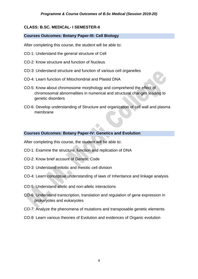# **CLASS: B.SC. MEDICAL- I SEMESTER-II**

# **Courses Outcomes: Botany Paper-III: Cell Biology**

After completing this course, the student will be able to:

- CO-1: Understand the general structure of Cell
- CO-2: Know structure and function of Nucleus
- CO-3: Understand structure and function of various cell organelles
- CO-4: Learn function of Mitochondrial and Plastid DNA
- CO-5: Know about chromosome morphology and comprehend the effect of chromosomal abnormalities in numerical and structural changes leading to genetic disorders
- CO-6: Develop understanding of Structure and organization of cell wall and plasma membrane

# **Courses Outcomes: Botany Paper-IV: Genetics and Evolution**

After completing this course, the student will be able to:

- CO-1: Examine the structure, function and replication of DNA
- CO-2: Know brief account of Genetic Code
- CO-3: Understand mitotic and meiotic cell division
- CO-4: Learn conceptual understanding of laws of Inheritance and linkage analysis
- CO-5: Understand allelic and non-allelic interactions
- CO-6: Understand transcription, translation and regulation of gene expression in prokaryotes and eukaryotes
- CO-7: Analyze the phenomena of mutations and transposable genetic elements
- CO-8: Learn various theories of Evolution and evidences of Organic evolution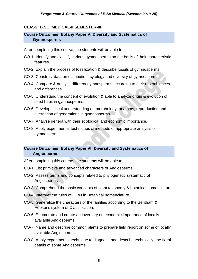# **CLASS: B.SC. MEDICAL-II SEMESTER-III**

# **Course Outcomes: Botany Paper V: Diversity and Systematics of Gymnosperms**

After completing this course, the students will be able to

- CO-1: Identify and classify various gymnosperms on the basis of their characteristic features.
- CO-2: Explain the process of fossilization & describe fossils of gymnosperms.
- CO-3: Construct data on distribution, cytology and diversity of gymnosperms.
- CO-4: Compare & analyze different gymnosperms according to their resemblances and differences.
- CO-5: Understand the concept of evolution & able to analyze origin & evolution of seed habit in gymnosperms.
- CO-6: Develop critical understanding on morphology, anatomy, reproduction and alternation of generations in gymnosperms.
- CO-7: Analyse genera with their ecological and economic importance.
- CO-8: Apply experimental techniques & methods of appropriate analysis of gymnosperms.

# **Course Outcomes: Botany Paper VI: Diversity and Systematics of Angiosperms**

After completing this course, the students will be able to

- CO-1: List primitive and advanced characters of Angiosperms.
- CO-2: Assess terms and concepts related to phylogenetic systematic of Angiosperms.
- CO-3: Comprehend the basic concepts of plant taxonomy & botanical nomenclature.
- CO-4: Interpret the rules of ICBN in Botanical nomenclature.
- CO-5: Generalize the characters of the families according to the Bentham & Hooker's system of Classification.
- CO-6: Enumerate and create an inventory on economic importance of locally available Angiosperms.
- CO-7: Name and describe common plants to prepare field report on some of locally available Angiosperms.
- CO-8: Apply experimental technique to diagnose and describe technically, the floral details of some Angiosperms.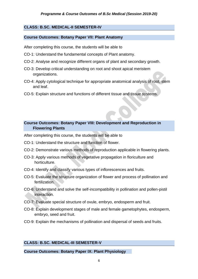# **CLASS: B.SC. MEDICAL-II SEMESTER-IV**

# **Course Outcomes: Botany Paper VII: Plant Anatomy**

After completing this course, the students will be able to

- CO-1: Understand the fundamental concepts of Plant anatomy.
- CO-2: Analyse and recognize different organs of plant and secondary growth.
- CO-3: Develop critical understanding on root and shoot apical meristem organizations.
- CO-4: Apply cytological technique for appropriate anatomical analysis of root, stem and leaf.
- CO-5: Explain structure and functions of different tissue and tissue systems.

# **Course Outcomes: Botany Paper VIII: Development and Reproduction in Flowering Plants**

After completing this course, the students will be able to

- CO-1: Understand the structure and function of flower.
- CO-2: Demonstrate various methods of reproduction applicable in flowering plants.
- CO-3: Apply various methods of vegetative propagation in floriculture and horticulture.
- CO-4: Identify and classify various types of inflorescences and fruits.
- CO-5: Evaluate the structure organization of flower and process of pollination and fertilization.
- CO-6: Understand and solve the self-incompatibility in pollination and pollen-pistil interaction.
- CO-7: Evaluate special structure of ovule, embryo, endosperm and fruit.
- CO-8: Explain development stages of male and female gametophytes, endosperm, embryo, seed and fruit.
- CO-9: Explain the mechanisms of pollination and dispersal of seeds and fruits.

# **CLASS: B.SC. MEDICAL-III SEMESTER-V**

#### **Course Outcomes: Botany Paper IX: Plant Physiology**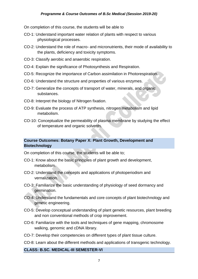# *Programme & Course Outcomes of B.Sc Medical (Session 2019-20)*

On completion of this course, the students will be able to

- CO-1: Understand important water relation of plants with respect to various physiological processes.
- CO-2: Understand the role of macro- and micronutrients, their mode of availability to the plants, deficiency and toxicity symptoms.
- CO-3: Classify aerobic and anaerobic respiration.
- CO-4: Explain the significance of Photosynthesis and Respiration.
- CO-5: Recognize the importance of Carbon assimilation in Photorespiration.
- CO-6: Understand the structure and properties of various enzymes.
- CO-7: Generalize the concepts of transport of water, minerals, and organic substances.
- CO-8: Interpret the biology of Nitrogen fixation.
- CO-9: Evaluate the process of ATP synthesis, nitrogen metabolism and lipid metabolism.
- CO-10: Conceptualize the permeability of plasma membrane by studying the effect of temperature and organic solvents.

# **Course Outcomes: Botany Paper X: Plant Growth, Development and Biotechnology**

On completion of this course, the students will be able to;

- CO-1: Know about the basic principles of plant growth and development, metabolism.
- CO-2: Understand the concepts and applications of photoperiodism and vernalization.
- CO-3: Familiarize the basic understanding of physiology of seed dormancy and germination.
- CO-4: Understand the fundamentals and core concepts of plant biotechnology and genetic engineering.
- CO-5: Develop conceptual understanding of plant genetic resources, plant breeding and non conventional methods of crop improvement.
- CO-6: Familiarize with the tools and techniques of gene mapping, chromosome walking, genomic and cDNA library.
- CO-7: Develop their competencies on different types of plant tissue culture.
- CO-8: Learn about the different methods and applications of transgenic technology.

#### **CLASS: B.SC. MEDICAL-III SEMESTER-VI**